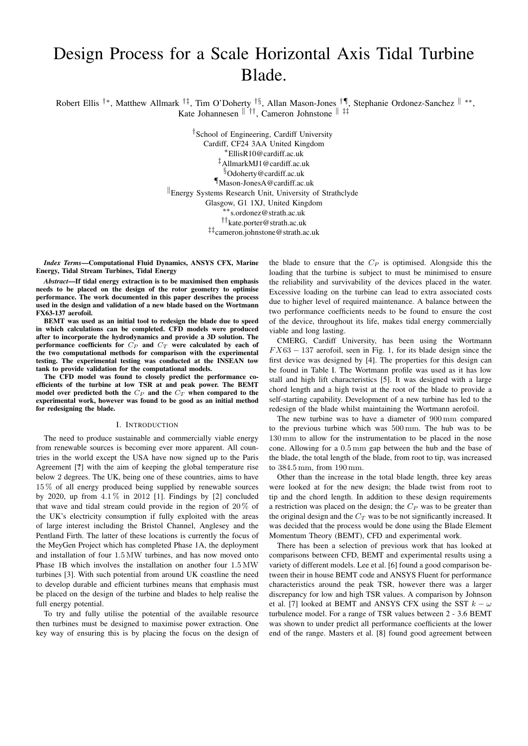# Design Process for a Scale Horizontal Axis Tidal Turbine Blade.

Robert Ellis <sup>†∗</sup>, Matthew Allmark <sup>†‡</sup>, Tim O'Doherty <sup>†§</sup>, Allan Mason-Jones <sup>†¶</sup>, Stephanie Ordonez-Sanchez <sup>||</sup> \*\*, Kate Johannesen  $\Vert \dot{\uparrow} \Vert$ , Cameron Johnstone  $\Vert \dot{\uparrow} \dot{\uparrow}$ 

> † School of Engineering, Cardiff University Cardiff, CF24 3AA United Kingdom <sup>∗</sup>EllisR10@cardiff.ac.uk ‡AllmarkMJ1@cardiff.ac.uk §Odoherty@cardiff.ac.uk ¶Mason-JonesA@cardiff.ac.uk Energy Systems Research Unit, University of Strathclyde Glasgow, G1 1XJ, United Kingdom ∗∗s.ordonez@strath.ac.uk ††kate.porter@strath.ac.uk ‡‡cameron.johnstone@strath.ac.uk

*Index Terms*—Computational Fluid Dynamics, ANSYS CFX, Marine Energy, Tidal Stream Turbines, Tidal Energy

*Abstract*—If tidal energy extraction is to be maximised then emphasis needs to be placed on the design of the rotor geometry to optimise performance. The work documented in this paper describes the process used in the design and validation of a new blade based on the Wortmann FX63-137 aerofoil.

BEMT was used as an initial tool to redesign the blade due to speed in which calculations can be completed. CFD models were produced after to incorporate the hydrodynamics and provide a 3D solution. The performance coefficients for  $C_P$  and  $C_T$  were calculated by each of the two computational methods for comparison with the experimental testing. The experimental testing was conducted at the INSEAN tow tank to provide validation for the computational models.

The CFD model was found to closely predict the performance coefficients of the turbine at low TSR at and peak power. The BEMT model over predicted both the  $C_P$  and the  $C_T$  when compared to the experimental work, however was found to be good as an initial method for redesigning the blade.

#### I. INTRODUCTION

The need to produce sustainable and commercially viable energy from renewable sources is becoming ever more apparent. All countries in the world except the USA have now signed up to the Paris Agreement [?] with the aim of keeping the global temperature rise below 2 degrees. The UK, being one of these countries, aims to have 15 % of all energy produced being supplied by renewable sources by 2020, up from  $4.1\%$  in 2012 [1]. Findings by [2] concluded that wave and tidal stream could provide in the region of  $20\%$  of the UK's electricity consumption if fully exploited with the areas of large interest including the Bristol Channel, Anglesey and the Pentland Firth. The latter of these locations is currently the focus of the MeyGen Project which has completed Phase 1A, the deployment and installation of four 1.5 MW turbines, and has now moved onto Phase 1B which involves the installation on another four 1.5 MW turbines [3]. With such potential from around UK coastline the need to develop durable and efficient turbines means that emphasis must be placed on the design of the turbine and blades to help realise the full energy potential.

To try and fully utilise the potential of the available resource then turbines must be designed to maximise power extraction. One key way of ensuring this is by placing the focus on the design of the blade to ensure that the  $C_P$  is optimised. Alongside this the loading that the turbine is subject to must be minimised to ensure the reliability and survivability of the devices placed in the water. Excessive loading on the turbine can lead to extra associated costs due to higher level of required maintenance. A balance between the two performance coefficients needs to be found to ensure the cost of the device, throughout its life, makes tidal energy commercially viable and long lasting.

CMERG, Cardiff University, has been using the Wortmann  $FX63 - 137$  aerofoil, seen in Fig. 1, for its blade design since the first device was designed by [4]. The properties for this design can be found in Table I. The Wortmann profile was used as it has low stall and high lift characteristics [5]. It was designed with a large chord length and a high twist at the root of the blade to provide a self-starting capability. Development of a new turbine has led to the redesign of the blade whilst maintaining the Wortmann aerofoil.

The new turbine was to have a diameter of 900 mm compared to the previous turbine which was 500 mm. The hub was to be 130 mm to allow for the instrumentation to be placed in the nose cone. Allowing for a 0.5 mm gap between the hub and the base of the blade, the total length of the blade, from root to tip, was increased to 384.5 mm, from 190 mm.

Other than the increase in the total blade length, three key areas were looked at for the new design; the blade twist from root to tip and the chord length. In addition to these design requirements a restriction was placed on the design; the  $C_P$  was to be greater than the original design and the  $C_T$  was to be not significantly increased. It was decided that the process would be done using the Blade Element Momentum Theory (BEMT), CFD and experimental work.

There has been a selection of previous work that has looked at comparisons between CFD, BEMT and experimental results using a variety of different models. Lee et al. [6] found a good comparison between their in house BEMT code and ANSYS Fluent for performance characteristics around the peak TSR, however there was a larger discrepancy for low and high TSR values. A comparison by Johnson et al. [7] looked at BEMT and ANSYS CFX using the SST  $k - \omega$ turbulence model. For a range of TSR values between 2 - 3.6 BEMT was shown to under predict all performance coefficients at the lower end of the range. Masters et al. [8] found good agreement between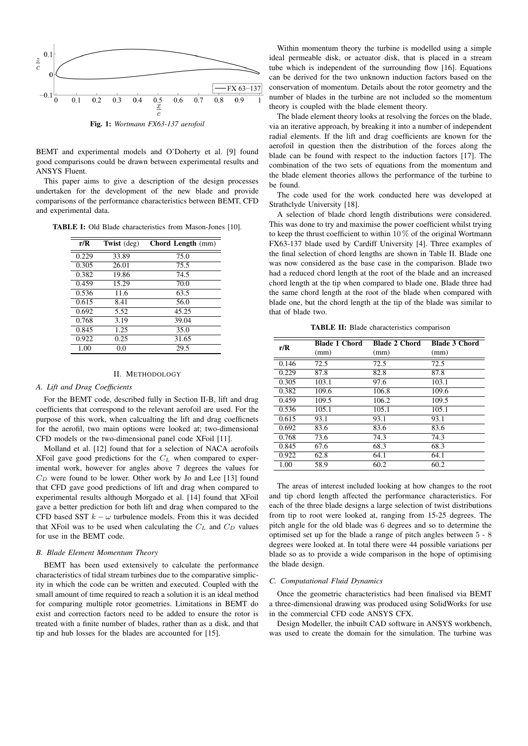

BEMT and experimental models and O'Doherty et al. [9] found good comparisons could be drawn between experimental results and ANSYS Fluent.

This paper aims to give a description of the design processes undertaken for the development of the new blade and provide comparisons of the performance characteristics between BEMT, CFD and experimental data.

TABLE I: Old Blade characteristics from Mason-Jones [10].

| r/R   | Twist (deg) | <b>Chord Length</b> (mm) |
|-------|-------------|--------------------------|
| 0.229 | 33.89       | 75.0                     |
| 0.305 | 26.01       | 75.5                     |
| 0.382 | 19.86       | 74.5                     |
| 0.459 | 15.29       | 70.0                     |
| 0.536 | 11.6        | 63.5                     |
| 0.615 | 8.41        | 56.0                     |
| 0.692 | 5.52        | 45.25                    |
| 0.768 | 3.19        | 39.04                    |
| 0.845 | 1.25        | 35.0                     |
| 0.922 | 0.25        | 31.65                    |
| 1.00  | 0.0         | 29.5                     |

# II. METHODOLOGY

## *A. Lift and Drag Coefficients*

For the BEMT code, described fully in Section II-B, lift and drag coefficients that correspond to the relevant aerofoil are used. For the purpose of this work, when calcualting the lift and drag coefficnets for the aerofil, two main options were looked at; two-dimensional CFD models or the two-dimensional panel code XFoil [11].

Molland et al. [12] found that for a selection of NACA aerofoils XFoil gave good predictions for the  $C<sub>L</sub>$  when compared to experimental work, however for angles above 7 degrees the values for  $C_D$  were found to be lower. Other work by Jo and Lee [13] found that CFD gave good predictions of lift and drag when compared to experimental results although Morgado et al. [14] found that XFoil gave a better prediction for both lift and drag when compared to the CFD based SST  $k - \omega$  turbulence models. From this it was decided that XFoil was to be used when calculating the  $C_L$  and  $C_D$  values for use in the BEMT code.

# *B. Blade Element Momentum Theory*

BEMT has been used extensively to calculate the performance characteristics of tidal stream turbines due to the comparative simplicity in which the code can be written and executed. Coupled with the small amount of time required to reach a solution it is an ideal method for comparing multiple rotor geometries. Limitations in BEMT do exist and correction factors need to be added to ensure the rotor is treated with a finite number of blades, rather than as a disk, and that tip and hub losses for the blades are accounted for [15].

Within momentum theory the turbine is modelled using a simple ideal permeable disk, or actuator disk, that is placed in a stream tube which is independent of the surrounding flow [16]. Equations can be derived for the two unknown induction factors based on the conservation of momentum. Details about the rotor geometry and the number of blades in the turbine are not included so the momentum theory is coupled with the blade element theory.

The blade element theory looks at resolving the forces on the blade, via an iterative approach, by breaking it into a number of independent radial elements. If the lift and drag coefficients are known for the aerofoil in question then the distribution of the forces along the blade can be found with respect to the induction factors [17]. The combination of the two sets of equations from the momentum and the blade element theories allows the performance of the turbine to be found.

The code used for the work conducted here was developed at Strathclyde University [18].

A selection of blade chord length distributions were considered. This was done to try and maximise the power coefficient whilst trying to keep the thrust coefficient to within  $10\%$  of the original Wortmann FX63-137 blade used by Cardiff University [4]. Three examples of the final selection of chord lengths are shown in Table II. Blade one was now considered as the base case in the comparison. Blade two had a reduced chord length at the root of the blade and an increased chord length at the tip when compared to blade one. Blade three had the same chord length at the root of the blade when compared with blade one, but the chord length at the tip of the blade was similar to that of blade two.

TABLE II: Blade characteristics comparison

| r/R   | <b>Blade 1 Chord</b> | <b>Blade 2 Chord</b> | <b>Blade 3 Chord</b> |
|-------|----------------------|----------------------|----------------------|
|       | (mm)                 | (mm)                 | (mm)                 |
| 0.146 | 72.5                 | 72.5                 | 72.5                 |
| 0.229 | 87.8                 | 82.8                 | 87.8                 |
| 0.305 | 103.1                | 97.6                 | 103.1                |
| 0.382 | 109.6                | 106.8                | 109.6                |
| 0.459 | 109.5                | 106.2                | 109.5                |
| 0.536 | 105.1                | 105.1                | 105.1                |
| 0.615 | 93.1                 | 93.1                 | 93.1                 |
| 0.692 | 83.6                 | 83.6                 | 83.6                 |
| 0.768 | 73.6                 | 74.3                 | 74.3                 |
| 0.845 | 67.6                 | 68.3                 | 68.3                 |
| 0.922 | 62.8                 | 64.1                 | 64.1                 |
| 1.00  | 58.9                 | 60.2                 | 60.2                 |

The areas of interest included looking at how changes to the root and tip chord length affected the performance characteristics. For each of the three blade designs a large selection of twist distributions from tip to root were looked at, ranging from 15-25 degrees. The pitch angle for the old blade was 6 degrees and so to determine the optimised set up for the blade a range of pitch angles between 5 - 8 degrees were looked at. In total there were 44 possible variations per blade so as to provide a wide comparison in the hope of optimising the blade design.

# *C. Computational Fluid Dynamics*

Once the geometric characteristics had been finalised via BEMT a three-dimensional drawing was produced using SolidWorks for use in the commercial CFD code ANSYS CFX.

Design Modeller, the inbuilt CAD software in ANSYS workbench, was used to create the domain for the simulation. The turbine was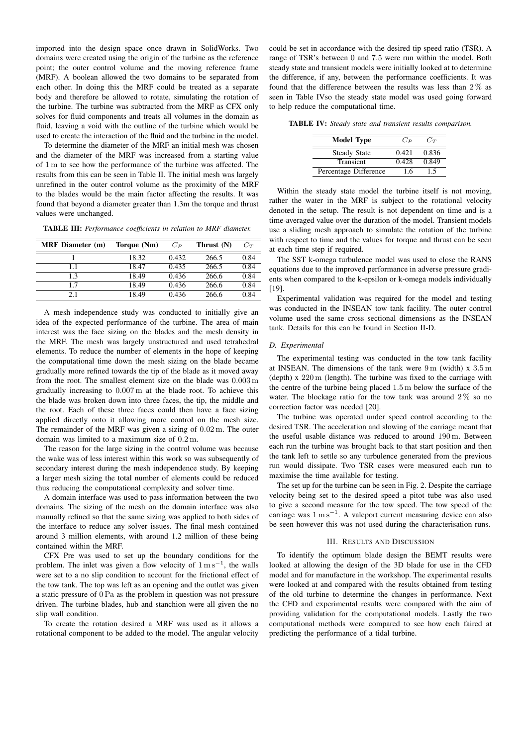imported into the design space once drawn in SolidWorks. Two domains were created using the origin of the turbine as the reference point; the outer control volume and the moving reference frame (MRF). A boolean allowed the two domains to be separated from each other. In doing this the MRF could be treated as a separate body and therefore be allowed to rotate, simulating the rotation of the turbine. The turbine was subtracted from the MRF as CFX only solves for fluid components and treats all volumes in the domain as fluid, leaving a void with the outline of the turbine which would be used to create the interaction of the fluid and the turbine in the model.

To determine the diameter of the MRF an initial mesh was chosen and the diameter of the MRF was increased from a starting value of 1 m to see how the performance of the turbine was affected. The results from this can be seen in Table II. The initial mesh was largely unrefined in the outer control volume as the proximity of the MRF to the blades would be the main factor affecting the results. It was found that beyond a diameter greater than 1.3m the torque and thrust values were unchanged.

TABLE III: *Performance coefficients in relation to MRF diameter.*

| <b>MRF</b> Diameter (m) | Torque (Nm) | $C_{P}$ | Thrust (N) | $C_T$ |
|-------------------------|-------------|---------|------------|-------|
|                         | 18.32       | 0.432   | 266.5      | 0.84  |
| 1.1                     | 18.47       | 0.435   | 266.5      | 0.84  |
| 1.3                     | 18.49       | 0.436   | 266.6      | 0.84  |
| 17                      | 18.49       | 0.436   | 266.6      | 0.84  |
| 21                      | 18.49       | 0.436   | 266.6      | 0.84  |

A mesh independence study was conducted to initially give an idea of the expected performance of the turbine. The area of main interest was the face sizing on the blades and the mesh density in the MRF. The mesh was largely unstructured and used tetrahedral elements. To reduce the number of elements in the hope of keeping the computational time down the mesh sizing on the blade became gradually more refined towards the tip of the blade as it moved away from the root. The smallest element size on the blade was 0.003 m gradually increasing to 0.007 m at the blade root. To achieve this the blade was broken down into three faces, the tip, the middle and the root. Each of these three faces could then have a face sizing applied directly onto it allowing more control on the mesh size. The remainder of the MRF was given a sizing of 0.02 m. The outer domain was limited to a maximum size of 0.2 m.

The reason for the large sizing in the control volume was because the wake was of less interest within this work so was subsequently of secondary interest during the mesh independence study. By keeping a larger mesh sizing the total number of elements could be reduced thus reducing the computational complexity and solver time.

A domain interface was used to pass information between the two domains. The sizing of the mesh on the domain interface was also manually refined so that the same sizing was applied to both sides of the interface to reduce any solver issues. The final mesh contained around 3 million elements, with around 1.2 million of these being contained within the MRF.

CFX Pre was used to set up the boundary conditions for the problem. The inlet was given a flow velocity of  $1 \text{ m s}^{-1}$ , the walls were set to a no slip condition to account for the frictional effect of the tow tank. The top was left as an opening and the outlet was given a static pressure of 0 Pa as the problem in question was not pressure driven. The turbine blades, hub and stanchion were all given the no slip wall condition.

To create the rotation desired a MRF was used as it allows a rotational component to be added to the model. The angular velocity

could be set in accordance with the desired tip speed ratio (TSR). A range of TSR's between 0 and 7.5 were run within the model. Both steady state and transient models were initially looked at to determine the difference, if any, between the performance coefficients. It was found that the difference between the results was less than  $2\%$  as seen in Table IVso the steady state model was used going forward to help reduce the computational time.

TABLE IV: *Steady state and transient results comparison.*

| <b>Model Type</b>     | $C_{P}$ | $C_T$ |
|-----------------------|---------|-------|
| <b>Steady State</b>   | 0.421   | 0.836 |
| Transient             | 0.428   | 0.849 |
| Percentage Difference | 16      | -5    |

Within the steady state model the turbine itself is not moving, rather the water in the MRF is subject to the rotational velocity denoted in the setup. The result is not dependent on time and is a time-averaged value over the duration of the model. Transient models use a sliding mesh approach to simulate the rotation of the turbine with respect to time and the values for torque and thrust can be seen at each time step if required.

The SST k-omega turbulence model was used to close the RANS equations due to the improved performance in adverse pressure gradients when compared to the k-epsilon or k-omega models individually [19].

Experimental validation was required for the model and testing was conducted in the INSEAN tow tank facility. The outer control volume used the same cross sectional dimensions as the INSEAN tank. Details for this can be found in Section II-D.

# *D. Experimental*

The experimental testing was conducted in the tow tank facility at INSEAN. The dimensions of the tank were  $9 \text{ m}$  (width) x  $3.5 \text{ m}$ (depth) x 220 m (length). The turbine was fixed to the carriage with the centre of the turbine being placed 1.5 m below the surface of the water. The blockage ratio for the tow tank was around  $2\%$  so no correction factor was needed [20].

The turbine was operated under speed control according to the desired TSR. The acceleration and slowing of the carriage meant that the useful usable distance was reduced to around 190 m. Between each run the turbine was brought back to that start position and then the tank left to settle so any turbulence generated from the previous run would dissipate. Two TSR cases were measured each run to maximise the time available for testing.

The set up for the turbine can be seen in Fig. 2. Despite the carriage velocity being set to the desired speed a pitot tube was also used to give a second measure for the tow speed. The tow speed of the carriage was  $1 \text{ m s}^{-1}$ . A valeport current measuring device can also be seen however this was not used during the characterisation runs.

## III. RESULTS AND DISCUSSION

To identify the optimum blade design the BEMT results were looked at allowing the design of the 3D blade for use in the CFD model and for manufacture in the workshop. The experimental results were looked at and compared with the results obtained from testing of the old turbine to determine the changes in performance. Next the CFD and experimental results were compared with the aim of providing validation for the computational models. Lastly the two computational methods were compared to see how each faired at predicting the performance of a tidal turbine.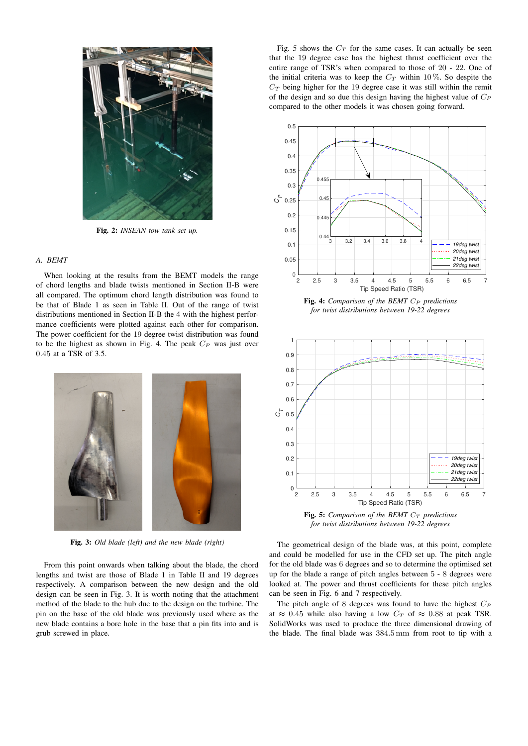

Fig. 2: *INSEAN tow tank set up.*

# *A. BEMT*

When looking at the results from the BEMT models the range of chord lengths and blade twists mentioned in Section II-B were all compared. The optimum chord length distribution was found to be that of Blade 1 as seen in Table II. Out of the range of twist distributions mentioned in Section II-B the 4 with the highest performance coefficients were plotted against each other for comparison. The power coefficient for the 19 degree twist distribution was found to be the highest as shown in Fig. 4. The peak  $C_P$  was just over 0.45 at a TSR of 3.5.



Fig. 3: *Old blade (left) and the new blade (right)*

From this point onwards when talking about the blade, the chord lengths and twist are those of Blade 1 in Table II and 19 degrees respectively. A comparison between the new design and the old design can be seen in Fig. 3. It is worth noting that the attachment method of the blade to the hub due to the design on the turbine. The pin on the base of the old blade was previously used where as the new blade contains a bore hole in the base that a pin fits into and is grub screwed in place.

Fig. 5 shows the  $C_T$  for the same cases. It can actually be seen that the 19 degree case has the highest thrust coefficient over the entire range of TSR's when compared to those of 20 - 22. One of the initial criteria was to keep the  $C_T$  within 10%. So despite the  $C_T$  being higher for the 19 degree case it was still within the remit of the design and so due this design having the highest value of  $C_P$ compared to the other models it was chosen going forward.



Fig. 4: *Comparison of the BEMT*  $C_P$  *predictions for twist distributions between 19-22 degrees*



Fig. 5: *Comparison of the BEMT*  $C_T$  *predictions for twist distributions between 19-22 degrees*

The geometrical design of the blade was, at this point, complete and could be modelled for use in the CFD set up. The pitch angle for the old blade was 6 degrees and so to determine the optimised set up for the blade a range of pitch angles between 5 - 8 degrees were looked at. The power and thrust coefficients for these pitch angles can be seen in Fig. 6 and 7 respectively.

The pitch angle of 8 degrees was found to have the highest  $C_P$ at  $\approx 0.45$  while also having a low  $C_T$  of  $\approx 0.88$  at peak TSR. SolidWorks was used to produce the three dimensional drawing of the blade. The final blade was 384.5 mm from root to tip with a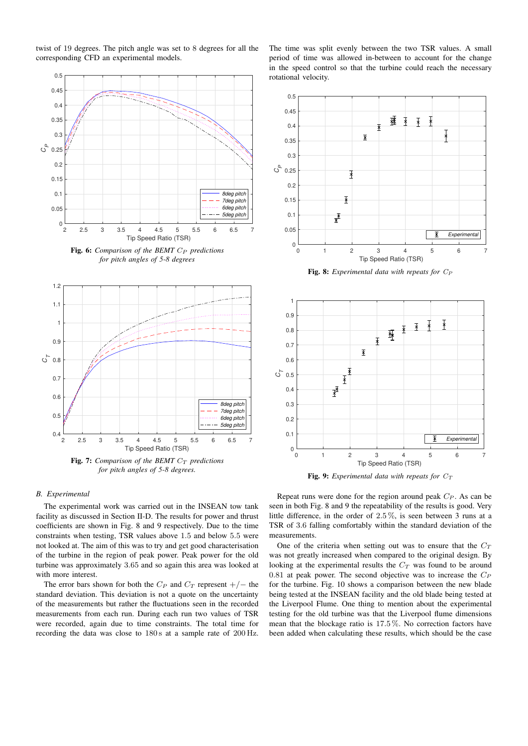twist of 19 degrees. The pitch angle was set to 8 degrees for all the corresponding CFD an experimental models.



Fig. 6: *Comparison of the BEMT*  $C_P$  *predictions for pitch angles of 5-8 degrees*



*for pitch angles of 5-8 degrees.*

The time was split evenly between the two TSR values. A small period of time was allowed in-between to account for the change in the speed control so that the turbine could reach the necessary rotational velocity.



Fig. 8: *Experimental data with repeats for*  $C_P$ 



Fig. 9: *Experimental data with repeats for*  $C_T$ 

# *B. Experimental*

The experimental work was carried out in the INSEAN tow tank facility as discussed in Section II-D. The results for power and thrust coefficients are shown in Fig. 8 and 9 respectively. Due to the time constraints when testing, TSR values above 1.5 and below 5.5 were not looked at. The aim of this was to try and get good characterisation of the turbine in the region of peak power. Peak power for the old turbine was approximately 3.65 and so again this area was looked at with more interest.

The error bars shown for both the  $C_P$  and  $C_T$  represent  $+/-$  the standard deviation. This deviation is not a quote on the uncertainty of the measurements but rather the fluctuations seen in the recorded measurements from each run. During each run two values of TSR were recorded, again due to time constraints. The total time for recording the data was close to 180s at a sample rate of 200 Hz.

Repeat runs were done for the region around peak  $C_P$ . As can be seen in both Fig. 8 and 9 the repeatability of the results is good. Very little difference, in the order of 2.5 %, is seen between 3 runs at a TSR of 3.6 falling comfortably within the standard deviation of the measurements.

One of the criteria when setting out was to ensure that the  $C_T$ was not greatly increased when compared to the original design. By looking at the experimental results the  $C_T$  was found to be around 0.81 at peak power. The second objective was to increase the  $C_P$ for the turbine. Fig. 10 shows a comparison between the new blade being tested at the INSEAN facility and the old blade being tested at the Liverpool Flume. One thing to mention about the experimental testing for the old turbine was that the Liverpool flume dimensions mean that the blockage ratio is 17.5 %. No correction factors have been added when calculating these results, which should be the case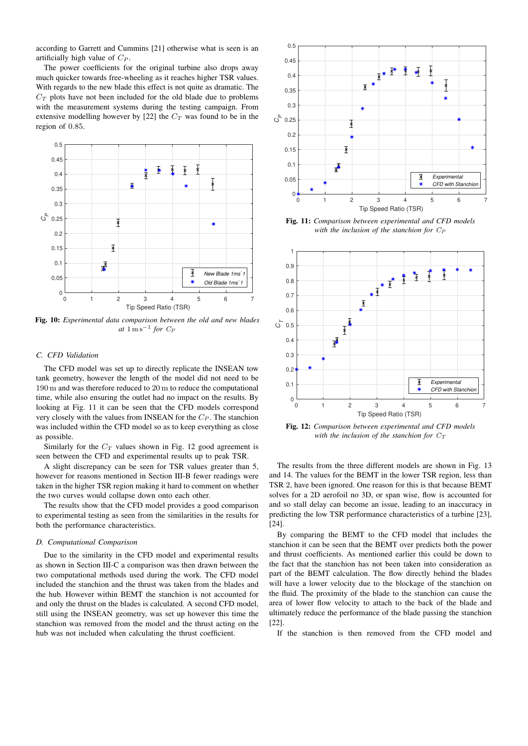according to Garrett and Cummins [21] otherwise what is seen is an artificially high value of  $C_P$ .

The power coefficients for the original turbine also drops away much quicker towards free-wheeling as it reaches higher TSR values. With regards to the new blade this effect is not quite as dramatic. The  $C_T$  plots have not been included for the old blade due to problems with the measurement systems during the testing campaign. From extensive modelling however by [22] the  $C_T$  was found to be in the region of 0.85.



Fig. 10: *Experimental data comparison between the old and new blades*  $at \ 1 \ \text{m s}^{-1}$  *for*  $C_P$ 

# *C. CFD Validation*

The CFD model was set up to directly replicate the INSEAN tow tank geometry, however the length of the model did not need to be 190 m and was therefore reduced to 20 m to reduce the computational time, while also ensuring the outlet had no impact on the results. By looking at Fig. 11 it can be seen that the CFD models correspond very closely with the values from INSEAN for the  $C_P$ . The stanchion was included within the CFD model so as to keep everything as close as possible.

Similarly for the  $C_T$  values shown in Fig. 12 good agreement is seen between the CFD and experimental results up to peak TSR.

A slight discrepancy can be seen for TSR values greater than 5, however for reasons mentioned in Section III-B fewer readings were taken in the higher TSR region making it hard to comment on whether the two curves would collapse down onto each other.

The results show that the CFD model provides a good comparison to experimental testing as seen from the similarities in the results for both the performance characteristics.

#### *D. Computational Comparison*

Due to the similarity in the CFD model and experimental results as shown in Section III-C a comparison was then drawn between the two computational methods used during the work. The CFD model included the stanchion and the thrust was taken from the blades and the hub. However within BEMT the stanchion is not accounted for and only the thrust on the blades is calculated. A second CFD model, still using the INSEAN geometry, was set up however this time the stanchion was removed from the model and the thrust acting on the hub was not included when calculating the thrust coefficient.



Fig. 11: *Comparison between experimental and CFD models with the inclusion of the stanchion for*  $C_P$ 



Fig. 12: *Comparison between experimental and CFD models with the inclusion of the stanchion for*  $C_T$ 

The results from the three different models are shown in Fig. 13 and 14. The values for the BEMT in the lower TSR region, less than TSR 2, have been ignored. One reason for this is that because BEMT solves for a 2D aerofoil no 3D, or span wise, flow is accounted for and so stall delay can become an issue, leading to an inaccuracy in predicting the low TSR performance characteristics of a turbine [23], [24].

By comparing the BEMT to the CFD model that includes the stanchion it can be seen that the BEMT over predicts both the power and thrust coefficients. As mentioned earlier this could be down to the fact that the stanchion has not been taken into consideration as part of the BEMT calculation. The flow directly behind the blades will have a lower velocity due to the blockage of the stanchion on the fluid. The proximity of the blade to the stanchion can cause the area of lower flow velocity to attach to the back of the blade and ultimately reduce the performance of the blade passing the stanchion [22].

If the stanchion is then removed from the CFD model and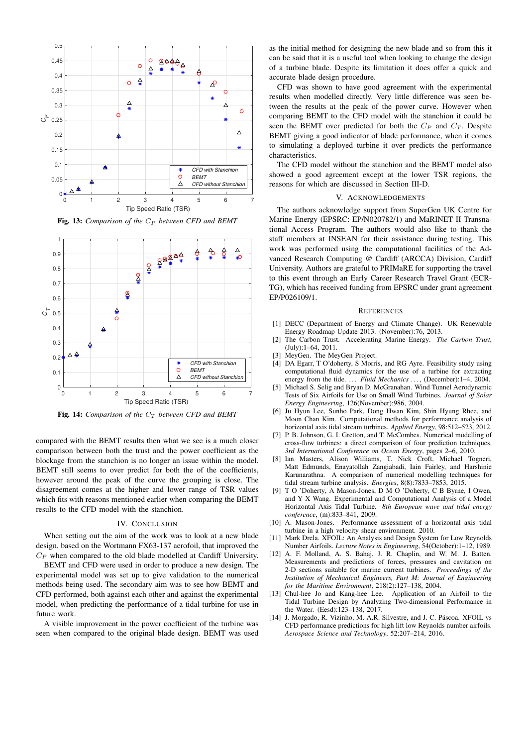

Fig. 13: *Comparison of the C<sub>P</sub> between CFD and BEMT* 



Fig. 14: *Comparison of the*  $C_T$  *between CFD and BEMT* 

compared with the BEMT results then what we see is a much closer comparison between both the trust and the power coefficient as the blockage from the stanchion is no longer an issue within the model. BEMT still seems to over predict for both the of the coefficients, however around the peak of the curve the grouping is close. The disagreement comes at the higher and lower range of TSR values which fits with reasons mentioned earlier when comparing the BEMT results to the CFD model with the stanchion.

## IV. CONCLUSION

When setting out the aim of the work was to look at a new blade design, based on the Wortmann FX63-137 aerofoil, that improved the  $C_P$  when compared to the old blade modelled at Cardiff University.

BEMT and CFD were used in order to produce a new design. The experimental model was set up to give validation to the numerical methods being used. The secondary aim was to see how BEMT and CFD performed, both against each other and against the experimental model, when predicting the performance of a tidal turbine for use in future work.

A visible improvement in the power coefficient of the turbine was seen when compared to the original blade design. BEMT was used

as the initial method for designing the new blade and so from this it can be said that it is a useful tool when looking to change the design of a turbine blade. Despite its limitation it does offer a quick and accurate blade design procedure.

CFD was shown to have good agreement with the experimental results when modelled directly. Very little difference was seen between the results at the peak of the power curve. However when comparing BEMT to the CFD model with the stanchion it could be seen the BEMT over predicted for both the  $C_P$  and  $C_T$ . Despite BEMT giving a good indicator of blade performance, when it comes to simulating a deployed turbine it over predicts the performance characteristics.

The CFD model without the stanchion and the BEMT model also showed a good agreement except at the lower TSR regions, the reasons for which are discussed in Section III-D.

### V. ACKNOWLEDGEMENTS

The authors acknowledge support from SuperGen UK Centre for Marine Energy (EPSRC: EP/N020782/1) and MaRINET II Transnational Access Program. The authors would also like to thank the staff members at INSEAN for their assistance during testing. This work was performed using the computational facilities of the Advanced Research Computing @ Cardiff (ARCCA) Division, Cardiff University. Authors are grateful to PRIMaRE for supporting the travel to this event through an Early Career Research Travel Grant (ECR-TG), which has received funding from EPSRC under grant agreement EP/P026109/1.

#### **REFERENCES**

- [1] DECC (Department of Energy and Climate Change). UK Renewable Energy Roadmap Update 2013. (November):76, 2013.
- [2] The Carbon Trust. Accelerating Marine Energy. *The Carbon Trust*, (July):1–64, 2011.
- [3] MeyGen. The MeyGen Project.
- [4] DA Egarr, T O'doherty, S Morris, and RG Ayre. Feasibility study using computational fluid dynamics for the use of a turbine for extracting energy from the tide. ... Fluid Mechanics ..., (December):1-4, 2004.
- Michael S. Selig and Bryan D. McGranahan. Wind Tunnel Aerodynamic Tests of Six Airfoils for Use on Small Wind Turbines. *Journal of Solar Energy Engineering*, 126(November):986, 2004.
- [6] Ju Hyun Lee, Sunho Park, Dong Hwan Kim, Shin Hyung Rhee, and Moon Chan Kim. Computational methods for performance analysis of horizontal axis tidal stream turbines. *Applied Energy*, 98:512–523, 2012.
- [7] P. B. Johnson, G. I. Gretton, and T. McCombes. Numerical modelling of cross-flow turbines: a direct comparison of four prediction techniques. *3rd International Conference on Ocean Energy*, pages 2–6, 2010.
- [8] Ian Masters, Alison Williams, T. Nick Croft, Michael Togneri, Matt Edmunds, Enayatollah Zangiabadi, Iain Fairley, and Harshinie Karunarathna. A comparison of numerical modelling techniques for tidal stream turbine analysis. *Energies*, 8(8):7833–7853, 2015.
- [9] T O 'Doherty, A Mason-Jones, D M O 'Doherty, C B Byrne, I Owen, and Y X Wang. Experimental and Computational Analysis of a Model Horizontal Axis Tidal Turbine. *8th European wave and tidal energy conference*, (m):833–841, 2009.
- [10] A. Mason-Jones. Performance assessment of a horizontal axis tidal turbine in a high velocity shear environment. 2010.
- Mark Drela. XFOIL: An Analysis and Design System for Low Reynolds Number Airfoils. *Lecture Notes in Engineering*, 54(October):1–12, 1989.
- [12] A. F. Molland, A. S. Bahaj, J. R. Chaplin, and W. M. J. Batten. Measurements and predictions of forces, pressures and cavitation on 2-D sections suitable for marine current turbines. *Proceedings of the Institution of Mechanical Engineers, Part M: Journal of Engineering for the Maritime Environment*, 218(2):127–138, 2004.
- [13] Chul-hee Jo and Kang-hee Lee. Application of an Airfoil to the Tidal Turbine Design by Analyzing Two-dimensional Performance in the Water. (Eesd):123–138, 2017.
- [14] J. Morgado, R. Vizinho, M. A.R. Silvestre, and J. C. Páscoa. XFOIL vs CFD performance predictions for high lift low Reynolds number airfoils. *Aerospace Science and Technology*, 52:207–214, 2016.